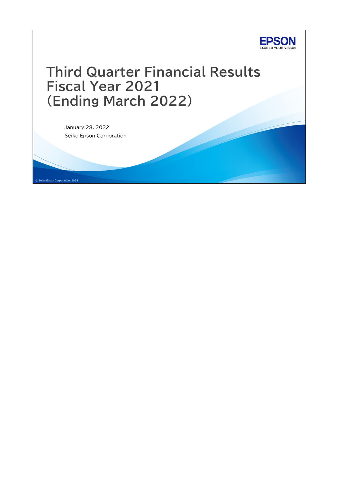

# **Third Quarter Financial Results Fiscal Year 2021 (Ending March 2022)**

January 28, 2022 Seiko Epson Corporation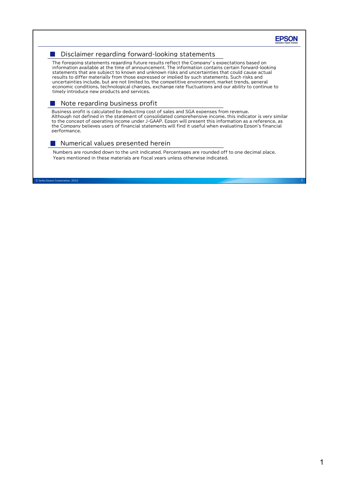

### Disclaimer regarding forward-looking statements

The foregoing statements regarding future results reflect the Company's expectations based on information available at the time of announcement. The information contains certain forward-looking statements that are subject to known and unknown risks and uncertainties that could cause actual results to differ materially from those expressed or implied by such statements. Such risks and uncertainties include, but are not limited to, the competitive environment, market trends, general economic conditions, technological changes, exchange rate fluctuations and our ability to continue to timely introduce new products and services.

### $\blacksquare$  Note regarding business profit

Business profit is calculated by deducting cost of sales and SGA expenses from revenue. Although not defined in the statement of consolidated comprehensive income, this indicator is very similar to the concept of operating income under J-GAAP. Epson will present this information as a reference, as the Company believes users of financial statements will find it useful when evaluating Epson's financial performance.

### Numerical values presented herein

Numbers are rounded down to the unit indicated. Percentages are rounded off to one decimal place. Years mentioned in these materials are fiscal years unless otherwise indicated.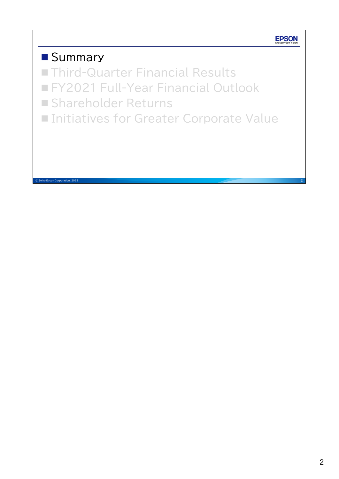

# **Summary Third-Quarter Financial Results FY2021 Full-Year Financial Outlook** ■ Shareholder Returns ■ Initiatives for Greater Corporate Value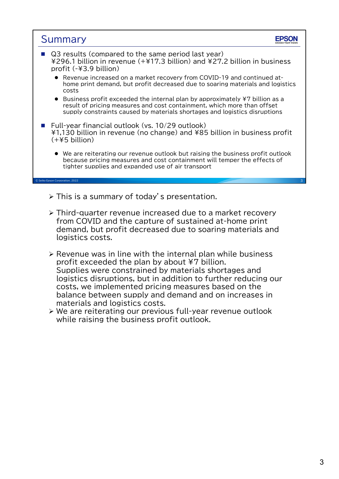| Summary                                                                                                                                                                                                                                            |  |
|----------------------------------------------------------------------------------------------------------------------------------------------------------------------------------------------------------------------------------------------------|--|
| Q3 results (compared to the same period last year)<br>¥296.1 billion in revenue (+¥17.3 billion) and ¥27.2 billion in business<br>profit $(-43.9 \text{ billion})$                                                                                 |  |
| • Revenue increased on a market recovery from COVID-19 and continued at-<br>home print demand, but profit decreased due to soaring materials and logistics<br>costs                                                                                |  |
| $\bullet$ Business profit exceeded the internal plan by approximately \testa billion as a<br>result of pricing measures and cost containment, which more than offset<br>supply constraints caused by materials shortages and logistics disruptions |  |
| Full-year financial outlook (vs. 10/29 outlook)<br>¥1,130 billion in revenue (no change) and ¥85 billion in business profit<br>$(+45$ billion)                                                                                                     |  |
| $\bullet$ We are reiterating our revenue outlook but raising the business profit outlook<br>because pricing measures and cost containment will temper the effects of<br>tighter supplies and expanded use of air transport                         |  |
| © Seiko Epson Corporation, 2022                                                                                                                                                                                                                    |  |
| > This is a summary of today's presentation.                                                                                                                                                                                                       |  |

- $\triangleright$  Third-quarter revenue increased due to a market recovery from COVID and the capture of sustained at-home print demand, but profit decreased due to soaring materials and logistics costs.
- $\triangleright$  Revenue was in line with the internal plan while business profit exceeded the plan by about ¥7 billion. Supplies were constrained by materials shortages and logistics disruptions, but in addition to further reducing our costs, we implemented pricing measures based on the balance between supply and demand and on increases in materials and logistics costs.
- We are reiterating our previous full-year revenue outlook while raising the business profit outlook.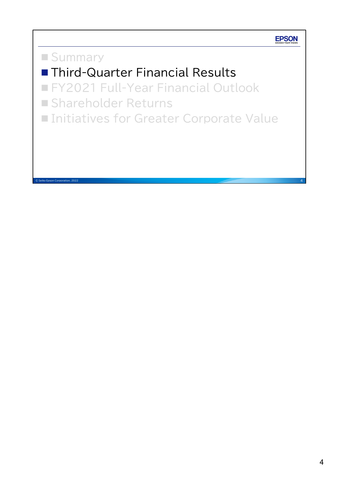### **EPSON**

# **Summary**

# **Third-Quarter Financial Results**

**FY2021 Full-Year Financial Outlook** 

**Shareholder Returns** 

■ Initiatives for Greater Corporate Value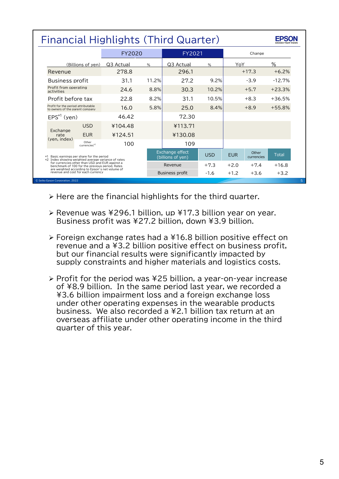|                                                                                                                                                       | Financial Highlights (Third Quarter) |       |                                      |            |                  |                     |               |   |  |  |  |  |
|-------------------------------------------------------------------------------------------------------------------------------------------------------|--------------------------------------|-------|--------------------------------------|------------|------------------|---------------------|---------------|---|--|--|--|--|
|                                                                                                                                                       | FY2020                               |       | FY2021                               |            |                  | Change              |               |   |  |  |  |  |
| (Billions of yen)                                                                                                                                     | Q3 Actual                            | %     | Q3 Actual                            | %          | YoY              |                     | $\frac{1}{2}$ |   |  |  |  |  |
| Revenue                                                                                                                                               | 278.8                                |       | 296.1                                |            |                  | $+17.3$             | $+6.2%$       |   |  |  |  |  |
| <b>Business profit</b>                                                                                                                                | 31.1                                 | 11.2% | 27.2                                 | 9.2%       |                  | $-3.9$              | $-12.7%$      |   |  |  |  |  |
| Profit from operating<br>activities                                                                                                                   | 24.6                                 | 8.8%  | 30.3                                 | 10.2%      |                  | $+5.7$              | $+23.3%$      |   |  |  |  |  |
| Profit before tax                                                                                                                                     | 22.8                                 | 8.2%  | 31.1                                 | 10.5%      | $+8.3$<br>$+8.9$ |                     | $+36.5%$      |   |  |  |  |  |
| Profit for the period attributable<br>to owners of the parent company                                                                                 | 16.0                                 | 5.8%  | 25.0                                 | 8.4%       |                  |                     | $+55.8%$      |   |  |  |  |  |
| $EPS^*$ <sup>1</sup> (yen)                                                                                                                            | 46.42                                |       | 72.30                                |            |                  |                     |               |   |  |  |  |  |
| <b>USD</b>                                                                                                                                            | ¥104.48                              |       | ¥113.71                              |            |                  |                     |               |   |  |  |  |  |
| Exchange<br><b>EUR</b><br>rate                                                                                                                        | ¥124.51                              |       | ¥130.08                              |            |                  |                     |               |   |  |  |  |  |
| (yen, index)<br>Other<br>currencies <sup>*2</sup>                                                                                                     | 100                                  |       | 109                                  |            |                  |                     |               |   |  |  |  |  |
| *1 Basic earnings per share for the period<br>*2 Index showing weighted average variance of rates                                                     |                                      |       | Exchange effect<br>(billions of yen) | <b>USD</b> | <b>FUR</b>       | Other<br>currencies | <b>Total</b>  |   |  |  |  |  |
| for currencies other than USD and EUR against a<br>benchmark of 100 for the previous period. Rates<br>are weighted according to Epson's net volume of |                                      |       | Revenue                              | $+7.3$     | $+2.0$           | $+7.4$              | $+16.8$       |   |  |  |  |  |
| revenue and cost for each currency                                                                                                                    |                                      |       | <b>Business profit</b>               | $-1.6$     | $+1.2$           | $+3.6$              | $+3.2$        |   |  |  |  |  |
| © Seiko Epson Corporation, 2022                                                                                                                       |                                      |       |                                      |            |                  |                     |               | 5 |  |  |  |  |

 $\triangleright$  Here are the financial highlights for the third quarter.

- Revenue was ¥296.1 billion, up ¥17.3 billion year on year. Business profit was ¥27.2 billion, down ¥3.9 billion.
- Foreign exchange rates had a ¥16.8 billion positive effect on revenue and a ¥3.2 billion positive effect on business profit, but our financial results were significantly impacted by supply constraints and higher materials and logistics costs.
- $\triangleright$  Profit for the period was ¥25 billion, a year-on-year increase of ¥8.9 billion. In the same period last year, we recorded a ¥3.6 billion impairment loss and a foreign exchange loss under other operating expenses in the wearable products business. We also recorded a ¥2.1 billion tax return at an overseas affiliate under other operating income in the third quarter of this year.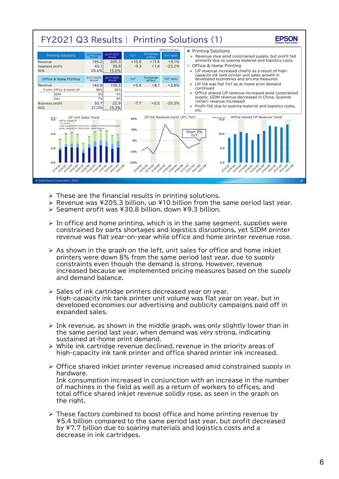

- $\triangleright$  These are the financial results in printing solutions.
- $\triangleright$  Revenue was ¥205.3 billion, up ¥10 billion from the same period last year.
- ▶ Segment profit was ¥30.8 billion, down ¥9.3 billion.
- $\geq$  In office and home printing, which is in the same segment, supplies were constrained by parts shortages and logistics disruptions, yet SIDM printer revenue was flat year-on-year while office and home printer revenue rose.
- $\triangleright$  As shown in the graph on the left, unit sales for office and home inkjet printers were down 8% from the same period last year, due to supply constraints even though the demand is strong. However, revenue increased because we implemented pricing measures based on the supply and demand balance.
- $\triangleright$  Sales of ink cartridge printers decreased year on year. High-capacity ink tank printer unit volume was flat year on year, but in developed economies our advertising and publicity campaigns paid off in expanded sales.
- $\triangleright$  Ink revenue, as shown in the middle graph, was only slightly lower than in the same period last year, when demand was very strong, indicating sustained at-home print demand.
- $\triangleright$  While ink cartridge revenue declined, revenue in the priority areas of high-capacity ink tank printer and office shared printer ink increased.
- $\geq$  Office shared inkjet printer revenue increased amid constrained supply in hardware. Ink consumption increased in conjunction with an increase in the number of machines in the field as well as a return of workers to offices, and total office shared inkjet revenue solidly rose, as seen in the graph on the right.
- $\geq$  These factors combined to boost office and home printing revenue by ¥5.4 billion compared to the same period last year, but profit decreased by ¥7.7 billion due to soaring materials and logistics costs and a decrease in ink cartridges.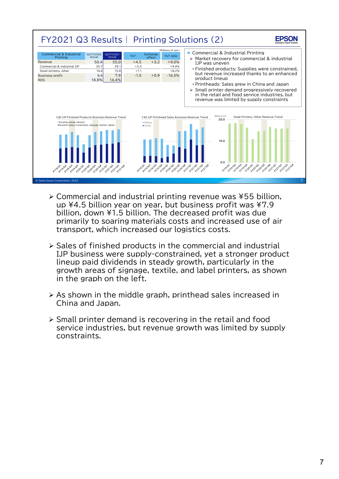

- $\geq$  Commercial and industrial printing revenue was ¥55 billion. up ¥4.5 billion year on year, but business profit was ¥7.9 billion, down ¥1.5 billion. The decreased profit was due primarily to soaring materials costs and increased use of air transport, which increased our logistics costs.
- $\geq$  Sales of finished products in the commercial and industrial IJP business were supply-constrained, yet a stronger product lineup paid dividends in steady growth, particularly in the growth areas of signage, textile, and label printers, as shown in the graph on the left.
- $\geq$  As shown in the middle graph, printhead sales increased in China and Japan.
- $\geq$  Small printer demand is recovering in the retail and food service industries, but revenue growth was limited by supply constraints.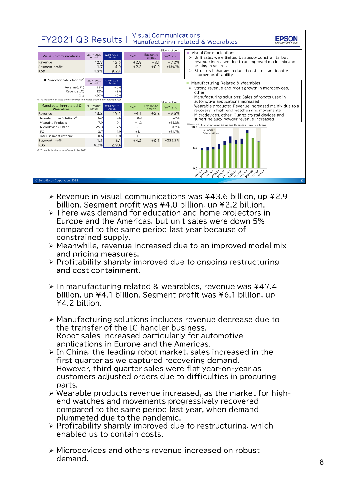| FY2021 Q3 Results                                                                                                                                                           |                                            |                                                |                                        | <b>Visual Communications</b>                           | Manufacturing-related & Wearables                                                                                                                                                                                                                                          |                                                                                                                                                                                                                  |
|-----------------------------------------------------------------------------------------------------------------------------------------------------------------------------|--------------------------------------------|------------------------------------------------|----------------------------------------|--------------------------------------------------------|----------------------------------------------------------------------------------------------------------------------------------------------------------------------------------------------------------------------------------------------------------------------------|------------------------------------------------------------------------------------------------------------------------------------------------------------------------------------------------------------------|
| <b>Visual Communications</b><br>Revenue<br>Segment profit<br><b>ROS</b>                                                                                                     | Q3/FY2021<br>Actual<br>43.6<br>4.0<br>9.2% | YoY<br>$+2.9$<br>$+2.2$                        | Exchange<br>effect<br>$+3.1$<br>$+0.9$ | (Billions of yen)<br>YoY ratio<br>$+7.2%$<br>$+130.7%$ | Visual Communications<br>٠<br>$\triangleright$ Unit sales were limited by supply constraints, but<br>revenue increased due to an improved model mix and<br>pricing measures<br>$\triangleright$ Structural changes reduced costs to significantly<br>improve profitability |                                                                                                                                                                                                                  |
| ◆Projector sales trends <sup>*1</sup> 03/FY2020<br>Revenue(JPY)<br>Revenue(LC)<br>Q'tv<br>*1 The indicators in sales trends are based on values tracked internally by Epson | Actual<br>$-13%$<br>$-12%$<br>$-20%$       | Q3/FY2021<br>Actual<br>$+6%$<br>$-2%$<br>$-5%$ |                                        |                                                        | (Billions of yen)                                                                                                                                                                                                                                                          | Manufacturing-Related & Wearables<br>ш<br>$\triangleright$ Strong revenue and profit growth in microdevices,<br>other<br>• Manufacturing solutions: Sales of robots used in<br>automotive applications increased |
| Manufacturing-related &<br>Wearables                                                                                                                                        | Q3/FY2020<br>Actual                        | Q3/FY2021<br>Actual                            | YoY                                    | Exchange<br>effect                                     | YoY ratio                                                                                                                                                                                                                                                                  | . Wearable products: Revenue increased mainly due to a<br>recovery in high-end watches and movements                                                                                                             |
| Revenue                                                                                                                                                                     | 43.2                                       | 47.4                                           | $+4.1$                                 | $+2.2$                                                 | $+9.5%$                                                                                                                                                                                                                                                                    | • Microdevices, other: Quartz crystal devices and                                                                                                                                                                |
| Manufacturing Solutions*2                                                                                                                                                   | 6.9                                        | 6.5                                            | $-0.3$                                 |                                                        | $-5.7%$                                                                                                                                                                                                                                                                    | superfine alloy powder revenue increased                                                                                                                                                                         |
| <b>Wearable Products</b>                                                                                                                                                    | 7.9                                        | 9.1                                            | $+1.2$                                 |                                                        | $+15.3%$                                                                                                                                                                                                                                                                   | (Billions of yen)                                                                                                                                                                                                |
| Microdevices, Other                                                                                                                                                         | 25.3                                       | 27.5                                           | $+2.1$                                 |                                                        | $+8.7%$                                                                                                                                                                                                                                                                    | Manufacturing Solutions Business Revenue Trend<br>10.0                                                                                                                                                           |
| PC                                                                                                                                                                          | 3.7                                        | 4.9                                            | $+1.1$                                 |                                                        | $+31.7%$                                                                                                                                                                                                                                                                   | <b>■IC Handler</b><br>Robots, others                                                                                                                                                                             |
| Inter-segment revenue                                                                                                                                                       | $-0.6$                                     | $-0.8$                                         | $-0.1$                                 |                                                        |                                                                                                                                                                                                                                                                            |                                                                                                                                                                                                                  |
| Segment profit                                                                                                                                                              | 1.8                                        | 6.1                                            | $+4.2$                                 | $+0.8$                                                 | $+225.2%$                                                                                                                                                                                                                                                                  |                                                                                                                                                                                                                  |
| <b>ROS</b>                                                                                                                                                                  | 4.3%                                       | 12.9%                                          |                                        |                                                        |                                                                                                                                                                                                                                                                            |                                                                                                                                                                                                                  |
| *2 IC Handler business transferred in Apr 2021                                                                                                                              |                                            |                                                |                                        |                                                        |                                                                                                                                                                                                                                                                            | 5.0<br>0.0                                                                                                                                                                                                       |
|                                                                                                                                                                             |                                            |                                                |                                        |                                                        |                                                                                                                                                                                                                                                                            | Frojok<br>od or a range of a lat<br>Graigh<br>A19103<br>Frich<br>FRIGA<br>Frojos<br>Falloz                                                                                                                       |
| C Seiko Epson Corporation. 2022                                                                                                                                             |                                            |                                                |                                        |                                                        |                                                                                                                                                                                                                                                                            | 8                                                                                                                                                                                                                |

- Revenue in visual communications was ¥43.6 billion, up ¥2.9 billion. Segment profit was ¥4.0 billion, up ¥2.2 billion.
- $\triangleright$  There was demand for education and home projectors in Europe and the Americas, but unit sales were down 5% compared to the same period last year because of constrained supply.
- Meanwhile, revenue increased due to an improved model mix and pricing measures.
- $\triangleright$  Profitability sharply improved due to ongoing restructuring and cost containment.
- In manufacturing related & wearables, revenue was ¥47.4 billion, up ¥4.1 billion. Segment profit was ¥6.1 billion, up ¥4.2 billion.
- Manufacturing solutions includes revenue decrease due to the transfer of the IC handler business. Robot sales increased particularly for automotive applications in Europe and the Americas.
- $\triangleright$  In China, the leading robot market, sales increased in the first quarter as we captured recovering demand. However, third quarter sales were flat year-on-year as customers adjusted orders due to difficulties in procuring parts.
- Wearable products revenue increased, as the market for highend watches and movements progressively recovered compared to the same period last year, when demand plummeted due to the pandemic.
- $\triangleright$  Profitability sharply improved due to restructuring, which enabled us to contain costs.
- Microdevices and others revenue increased on robust demand. <sup>8</sup>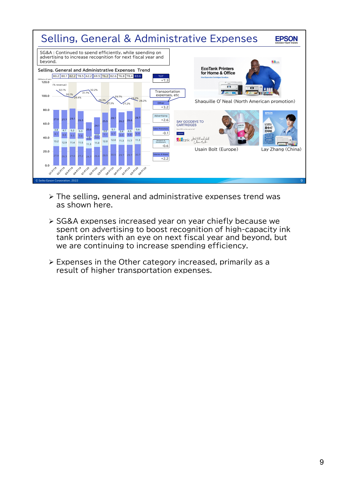

- The selling, general and administrative expenses trend was as shown here.
- ▶ SG&A expenses increased year on year chiefly because we spent on advertising to boost recognition of high-capacity ink tank printers with an eye on next fiscal year and beyond, but we are continuing to increase spending efficiency.
- Expenses in the Other category increased, primarily as a result of higher transportation expenses.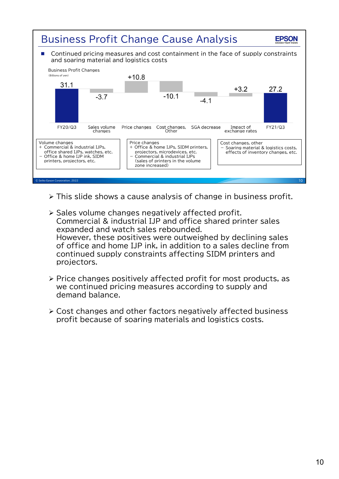

- $\triangleright$  This slide shows a cause analysis of change in business profit.
- $\geq$  Sales volume changes negatively affected profit. Commercial & industrial IJP and office shared printer sales expanded and watch sales rebounded. However, these positives were outweighed by declining sales of office and home IJP ink, in addition to a sales decline from continued supply constraints affecting SIDM printers and projectors.
- $\triangleright$  Price changes positively affected profit for most products, as we continued pricing measures according to supply and demand balance.
- Cost changes and other factors negatively affected business profit because of soaring materials and logistics costs.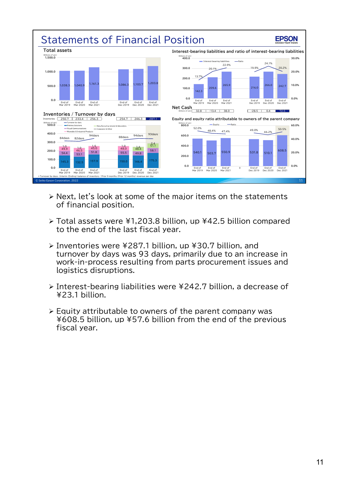

- $\triangleright$  Next, let's look at some of the major items on the statements of financial position.
- Total assets were ¥1,203.8 billion, up ¥42.5 billion compared to the end of the last fiscal year.
- Inventories were ¥287.1 billion, up ¥30.7 billion, and turnover by days was 93 days, primarily due to an increase in work-in-process resulting from parts procurement issues and logistics disruptions.
- Interest-bearing liabilities were ¥242.7 billion, a decrease of ¥23.1 billion.
- $\geq$  Equity attributable to owners of the parent company was ¥608.5 billion, up ¥57.6 billion from the end of the previous fiscal year.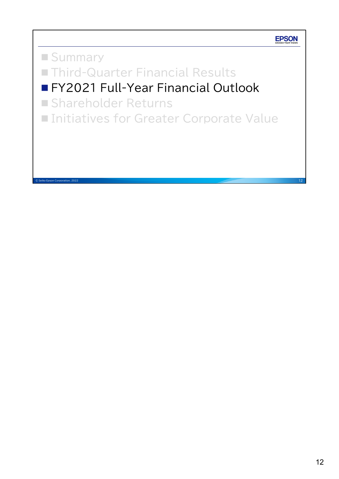**EPSON Third-Quarter Financial Results** 

# **FY2021 Full-Year Financial Outlook**

**Shareholder Returns** 

**Summary** 

■ Initiatives for Greater Corporate Value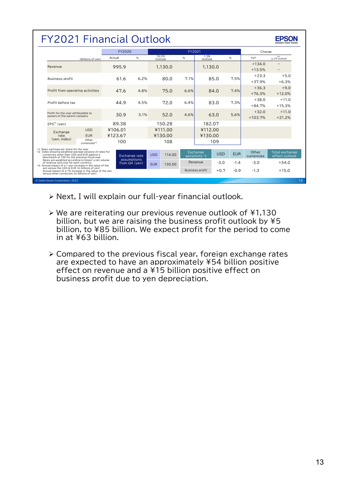|                                                                                                                                                          | <b>FY2021 Financial Outlook</b>                                                                                                                                                                                      |                              |      |                      |        |                                         |                  |                                   |                                  |  |  |  |  |  |
|----------------------------------------------------------------------------------------------------------------------------------------------------------|----------------------------------------------------------------------------------------------------------------------------------------------------------------------------------------------------------------------|------------------------------|------|----------------------|--------|-----------------------------------------|------------------|-----------------------------------|----------------------------------|--|--|--|--|--|
|                                                                                                                                                          |                                                                                                                                                                                                                      | FY2020                       |      |                      | FY2021 |                                         |                  | Change                            |                                  |  |  |  |  |  |
|                                                                                                                                                          | (Billions of yen)                                                                                                                                                                                                    | Actual                       | %    | 10/29<br>Outlook     | %      | 1/28<br>%<br>YoY<br>Outlook             |                  | Vs.<br>10/29 outlook              |                                  |  |  |  |  |  |
| Revenue                                                                                                                                                  |                                                                                                                                                                                                                      | 995.9                        |      | 1,130.0              |        | 1,130.0                                 |                  | $+134.0$<br>$+13.5%$              | $\qquad \qquad -$                |  |  |  |  |  |
| <b>Business profit</b>                                                                                                                                   |                                                                                                                                                                                                                      |                              | 6.2% | 80.0                 | 7.1%   | 85.0                                    | 7.5%             | $+23.3$<br>$+37.9%$               | $+5.0$<br>$+6.3%$                |  |  |  |  |  |
|                                                                                                                                                          | Profit from operating activities                                                                                                                                                                                     |                              | 4.8% | 75.0                 |        | 84.0<br>6.6%                            |                  | $+36.3$<br>7.4%<br>$+76.3%$       | $+9.0$<br>$+12.0%$               |  |  |  |  |  |
| Profit before tax                                                                                                                                        |                                                                                                                                                                                                                      |                              | 4.5% | 72.0                 | 6.4%   | 83.0                                    | 7.3%             | $+38.0$<br>$+84.7%$               | $+11.0$<br>$+15.3%$              |  |  |  |  |  |
| Profit for the year attributable to<br>owners of the parent company                                                                                      | 30.9                                                                                                                                                                                                                 |                              | 3.1% | 52.0                 |        | 4.6%<br>63.0<br>5.6%                    |                  | $+32.0$<br>$+103.7%$              | $+11.0$<br>$+21.2%$              |  |  |  |  |  |
| $EPS^{\ast 1}$ (yen)                                                                                                                                     |                                                                                                                                                                                                                      | 89.38                        |      | 150.28               |        | 182.07                                  |                  |                                   |                                  |  |  |  |  |  |
| Exchange                                                                                                                                                 | <b>USD</b>                                                                                                                                                                                                           | ¥106.01                      |      | ¥111.00              |        | ¥112.00                                 |                  |                                   |                                  |  |  |  |  |  |
| rate<br>(yen. index)                                                                                                                                     | <b>EUR</b>                                                                                                                                                                                                           | ¥123.67                      |      | ¥130.00              |        | ¥130.00                                 |                  |                                   |                                  |  |  |  |  |  |
|                                                                                                                                                          | Other<br>currencies <sup>*2</sup>                                                                                                                                                                                    | 100                          |      | 108                  |        | 109                                     |                  |                                   |                                  |  |  |  |  |  |
|                                                                                                                                                          | *1 Basic earnings per share for the year<br>*2 Index showing weighted average variance of rates for<br>currencies other than USD and EUR against a<br>Exchange rate<br>benchmark of 100 for the previous fiscal year |                              |      |                      |        | Exchange<br><b>USD</b><br>sensitivity 3 |                  | Other<br><b>EUR</b><br>currencies | Total exchange<br>effect outlook |  |  |  |  |  |
| Rates are weighted according to Epson's net volume<br>of revenue and cost for each currency.<br>*3 Annual impact of a 1-yen increase in the value of the |                                                                                                                                                                                                                      | assumptions<br>from Q4 (yen) |      | <b>EUR</b><br>130.00 |        | Revenue                                 | $-3.0$<br>$-1.4$ | $-3.0$                            | $+54.0$                          |  |  |  |  |  |
| ven versus the USD & EUR (in billions of ven)<br>Annual impact of a 1% increase in the value of the ven<br>versus other currencies (in billions of yen)  |                                                                                                                                                                                                                      |                              |      |                      |        | <b>Business profit</b><br>$+0.7$        |                  | $-1.3$<br>$-0.9$                  | $+15.0$                          |  |  |  |  |  |
| C Seiko Epson Corporation. 2022                                                                                                                          |                                                                                                                                                                                                                      |                              |      |                      |        |                                         |                  |                                   |                                  |  |  |  |  |  |

Next, I will explain our full-year financial outlook.

- We are reiterating our previous revenue outlook of ¥1,130 billion, but we are raising the business profit outlook by ¥5 billion, to ¥85 billion. We expect profit for the period to come in at ¥63 billion.
- $\geq$  Compared to the previous fiscal year, foreign exchange rates are expected to have an approximately ¥54 billion positive effect on revenue and a ¥15 billion positive effect on business profit due to yen depreciation.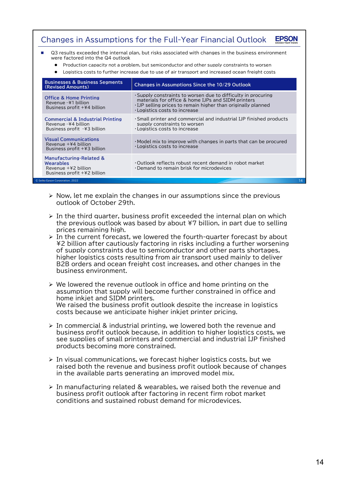#### Changes in Assumptions for the Full-Year Financial Outlook **EPSON**

- Q3 results exceeded the internal plan, but risks associated with changes in the business environment were factored into the Q4 outlook
	- Production capacity not a problem, but semiconductor and other supply constraints to worsen
	- Logistics costs to further increase due to use of air transport and increased ocean freight costs

| <b>Businesses &amp; Business Segments</b><br>(Revised Amounts)                                                          | Changes in Assumptions Since the 10/29 Outlook                                                                                                                                                                                    |
|-------------------------------------------------------------------------------------------------------------------------|-----------------------------------------------------------------------------------------------------------------------------------------------------------------------------------------------------------------------------------|
| <b>Office &amp; Home Printing</b><br>Revenue $-\frac{2}{3}$ billion<br>Business profit $+44$ billion                    | . Supply constraints to worsen due to difficulty in procuring<br>materials for office & home IJPs and SIDM printers<br>$\cdot$ IJP selling prices to remain higher than originally planned<br>$\cdot$ Logistics costs to increase |
| <b>Commercial &amp; Industrial Printing</b><br>Revenue $-\frac{2}{3}$ billion<br>Business profit $-\frac{2}{3}$ billion | . Small printer and commercial and industrial IJP finished products<br>supply constraints to worsen<br>$\cdot$ Logistics costs to increase                                                                                        |
| <b>Visual Communications</b><br>Revenue $+44$ billion<br>Business profit $+43$ billion                                  | $\cdot$ Model mix to improve with changes in parts that can be procured<br>$\cdot$ Logistics costs to increase                                                                                                                    |
| <b>Manufacturing-Related &amp;</b><br>Wearables<br>Revenue $+42$ billion<br>Business profit $+42$ billion               | $\cdot$ Outlook reflects robust recent demand in robot market<br>$\cdot$ Demand to remain brisk for microdevices                                                                                                                  |
| C Seiko Epson Corporation. 2022                                                                                         |                                                                                                                                                                                                                                   |

- $\triangleright$  Now, let me explain the changes in our assumptions since the previous outlook of October 29th.
- $\geq$  In the third quarter, business profit exceeded the internal plan on which the previous outlook was based by about ¥7 billion, in part due to selling prices remaining high.
- $\geq$  In the current forecast, we lowered the fourth-quarter forecast by about ¥2 billion after cautiously factoring in risks including a further worsening of supply constraints due to semiconductor and other parts shortages, higher logistics costs resulting from air transport used mainly to deliver B2B orders and ocean freight cost increases, and other changes in the business environment.
- $\triangleright$  We lowered the revenue outlook in office and home printing on the assumption that supply will become further constrained in office and home inkjet and SIDM printers. We raised the business profit outlook despite the increase in logistics costs because we anticipate higher inkjet printer pricing.
- $\geq$  In commercial & industrial printing, we lowered both the revenue and business profit outlook because, in addition to higher logistics costs, we see supplies of small printers and commercial and industrial IJP finished products becoming more constrained.
- $\geq$  In visual communications, we forecast higher logistics costs, but we raised both the revenue and business profit outlook because of changes in the available parts generating an improved model mix.
- $\triangleright$  In manufacturing related & wearables, we raised both the revenue and business profit outlook after factoring in recent firm robot market conditions and sustained robust demand for microdevices.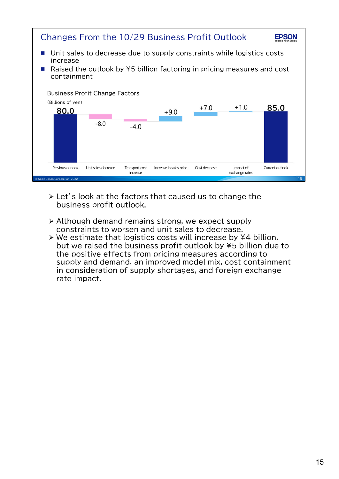

- $\triangleright$  Let's look at the factors that caused us to change the business profit outlook.
- Although demand remains strong, we expect supply constraints to worsen and unit sales to decrease.
- $\triangleright$  We estimate that logistics costs will increase by \44 billion, but we raised the business profit outlook by ¥5 billion due to the positive effects from pricing measures according to supply and demand, an improved model mix, cost containment in consideration of supply shortages, and foreign exchange rate impact.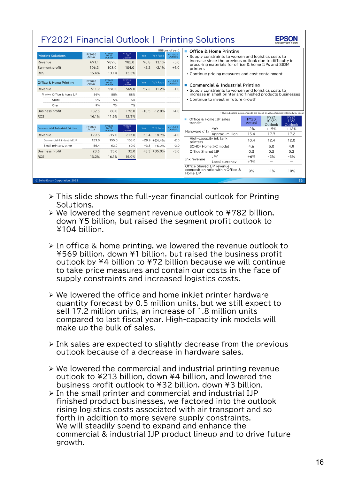|                                  | <b>FY2021 Financial Outlook   Printing Solutions</b> |                            |                           |        |                   |                     |                                                                                                |  |  |  |  |
|----------------------------------|------------------------------------------------------|----------------------------|---------------------------|--------|-------------------|---------------------|------------------------------------------------------------------------------------------------|--|--|--|--|
|                                  |                                                      |                            |                           |        |                   | (Bilions of yen)    | <b>Office &amp; Home Printing</b><br>ш                                                         |  |  |  |  |
| <b>Printing Solutions</b>        | FY2020<br>Actual                                     | FY2021<br>10/29<br>Outlook | FY2021<br>1/28<br>Outlook | YoY    | <b>YoY Ratio</b>  | vs 10/29<br>Outlook | • Supply constraints to worsen and logistics costs to                                          |  |  |  |  |
| Revenue                          | 691.1                                                | 787.0                      | 782.0                     |        | $+90.8$ $+13.1\%$ | $-5.0$              | increase since the previous outlook due to difficulty in                                       |  |  |  |  |
| Segment profit                   | 106.2                                                | 103.0                      | 104.0                     | $-2.2$ | $-2.1%$           | $+1.0$              | procuring materials for office & home IJPs and SIDM<br>printers                                |  |  |  |  |
| <b>ROS</b>                       | 15.4%                                                | 13.1%                      | 13.3%                     |        |                   |                     | • Continue pricing measures and cost containment                                               |  |  |  |  |
|                                  |                                                      |                            |                           |        |                   |                     |                                                                                                |  |  |  |  |
| Office & Home Printing           | FY2020<br>Actual                                     | FY2021<br>10/29<br>Outlook | FY2021<br>Outlook         | YoY    | <b>YoY Ratio</b>  | vs 10/29<br>Outlook | <b>Commercial &amp; Industrial Printing</b><br>a a                                             |  |  |  |  |
| Revenue                          | 511.7                                                | 570.0                      | 569.0                     |        | $+57.2$ $+11.2%$  | $-1.0$              | • Supply constraints to worsen and logistics costs to                                          |  |  |  |  |
| % sales Office & home IJP        | 86%                                                  | 88%                        | 88%                       |        |                   |                     | increase in small printer and finished products businesses                                     |  |  |  |  |
| <b>SIDM</b>                      | 5%                                                   | 5%                         | 5%                        |        |                   |                     | • Continue to invest in future growth                                                          |  |  |  |  |
| Oter                             | 9%                                                   | 7%                         | 7%                        |        |                   |                     |                                                                                                |  |  |  |  |
| <b>Business profit</b>           | $+82.5$                                              | $+68.0$                    | $+72.0$                   |        | $-10.5 -12.8%$    | $+4.0$              | * The indicators in sales trends are based on values tracked internally by Epson               |  |  |  |  |
| <b>ROS</b>                       | 16.1%                                                | 11.9%                      | 12.7%                     |        |                   |                     | <b>FY21</b><br><b>FY21</b><br><b>FY20</b><br>Office & Home IJP sales                           |  |  |  |  |
|                                  |                                                      |                            |                           |        |                   |                     | 10/29<br>1/28<br>trends*<br>Actual<br>Outlook<br>Outlook                                       |  |  |  |  |
| Commercial & Industrial Printing | FY2020<br>Actual                                     | FY2021<br>10/29<br>Outlook | FY2021<br>1/28<br>Outlook | YoY    | <b>YoY Ratio</b>  | vs 10/29<br>Outlook | $-2%$<br>$+15%$<br>$+12%$<br>YoY                                                               |  |  |  |  |
| Revenue                          | 179.5                                                | 217.0                      | 213.0                     |        | $+33.4$ $+18.7%$  | $-4.0$              | Hardware q'ty<br>15.4<br>17.7<br>17.2<br>Approx., million                                      |  |  |  |  |
| Commercial & industrial IJP      | 123.0                                                | 155.0                      | 153.0                     |        | $+29.9 +24.4%$    | $-2.0$              | High-capacity ink tank<br>10.4<br>12.4<br>12.0<br>printers                                     |  |  |  |  |
| Small printers, other            | 56.4                                                 | 62.0                       | 60.0                      | $+3.5$ | $+6.2%$           | $-2.0$              | SOHO/Home I/C model<br>5.0<br>4.9<br>4.6                                                       |  |  |  |  |
| <b>Business profit</b>           | 23.6                                                 | 35.0                       | 32.0                      |        | $+8.3 +35.0%$     | $-3.0$              | Office Shared IJP<br>0.3<br>0.3<br>0.3                                                         |  |  |  |  |
| <b>ROS</b>                       | 13.2%                                                | 16.1%                      | 15.0%                     |        |                   |                     | JPY<br>$+6%$<br>$-2%$<br>$-3%$<br>Ink revenue                                                  |  |  |  |  |
|                                  |                                                      |                            |                           |        |                   |                     | $+7%$<br>Local currency<br>$\overline{\phantom{0}}$                                            |  |  |  |  |
|                                  |                                                      |                            |                           |        |                   |                     | Office Shared IJP revenue<br>composition ratio within Office &<br>9%<br>11%<br>10%<br>Home IJP |  |  |  |  |
| C Seiko Epson Corporation. 2022  |                                                      |                            |                           |        |                   |                     | 16                                                                                             |  |  |  |  |

- > This slide shows the full-vear financial outlook for Printing Solutions.
- We lowered the segment revenue outlook to ¥782 billion, down ¥5 billion, but raised the segment profit outlook to ¥104 billion.
- $\geq$  In office & home printing, we lowered the revenue outlook to ¥569 billion, down ¥1 billion, but raised the business profit outlook by ¥4 billion to ¥72 billion because we will continue to take price measures and contain our costs in the face of supply constraints and increased logistics costs.
- $\triangleright$  We lowered the office and home inkiet printer hardware quantity forecast by 0.5 million units, but we still expect to sell 17.2 million units, an increase of 1.8 million units compared to last fiscal year. High-capacity ink models will make up the bulk of sales.
- $\triangleright$  Ink sales are expected to slightly decrease from the previous outlook because of a decrease in hardware sales.
- $\triangleright$  We lowered the commercial and industrial printing revenue outlook to ¥213 billion, down ¥4 billion, and lowered the business profit outlook to ¥32 billion, down ¥3 billion.
- $\triangleright$  In the small printer and commercial and industrial IJP finished product businesses, we factored into the outlook rising logistics costs associated with air transport and so forth in addition to more severe supply constraints. We will steadily spend to expand and enhance the commercial & industrial IJP product lineup and to drive future growth.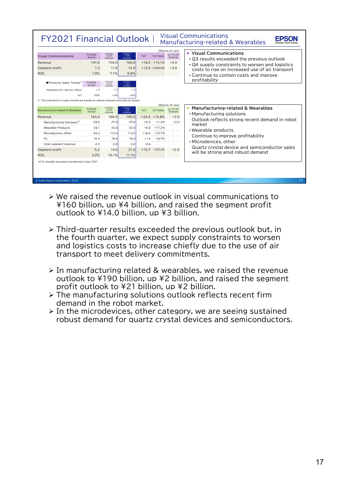|                                                                                   | <b>Visual Communications</b><br><b>FY2021 Financial Outlook  </b><br>Manufacturing-related & Wearables |                            |                           |         |                   |                     |                                                                                                    |  |  |  |  |  |  |  |  |  |
|-----------------------------------------------------------------------------------|--------------------------------------------------------------------------------------------------------|----------------------------|---------------------------|---------|-------------------|---------------------|----------------------------------------------------------------------------------------------------|--|--|--|--|--|--|--|--|--|
|                                                                                   |                                                                                                        |                            |                           |         |                   | (Bilions of yen)    |                                                                                                    |  |  |  |  |  |  |  |  |  |
| <b>Visual Communications</b>                                                      | FY2020<br>Actual                                                                                       | FY2021<br>10/29<br>Outlook | FY2021<br>1/28<br>Outlook | YoY     | YoY Ratio         | vs 10/29<br>Outlook | ■ Visual Communications<br>• Q3 results exceeded the previous outlook                              |  |  |  |  |  |  |  |  |  |
| Revenue                                                                           | 141.4                                                                                                  | 156.0                      | 160.0                     |         | $+18.5$ $+13.1\%$ | $+4.0$              |                                                                                                    |  |  |  |  |  |  |  |  |  |
| Segment profit                                                                    | 1.3                                                                                                    | 11.0                       | 14.0                      |         | $+12.6 +938.0%$   | $+3.0$              | • Q4 supply constraints to worsen and logistics<br>costs to rise on increased use of air transport |  |  |  |  |  |  |  |  |  |
| <b>ROS</b>                                                                        | 1.0%                                                                                                   | 7.1%                       | 8.8%                      |         |                   |                     | • Continue to contain costs and improve                                                            |  |  |  |  |  |  |  |  |  |
|                                                                                   |                                                                                                        |                            |                           |         |                   |                     | profitability                                                                                      |  |  |  |  |  |  |  |  |  |
| ◆Proiector Sales Trends*                                                          | FY2020<br>Actual                                                                                       | FY2021<br>10/29<br>Outlook | FY2021<br>1/28<br>Outlook |         |                   |                     |                                                                                                    |  |  |  |  |  |  |  |  |  |
| Hardware g'ty Aprrox, million                                                     | 1.7                                                                                                    | 1.7                        | 1.7                       |         |                   |                     |                                                                                                    |  |  |  |  |  |  |  |  |  |
| YoY                                                                               | $-30%$                                                                                                 | $+3%$                      | $+4%$                     |         |                   |                     |                                                                                                    |  |  |  |  |  |  |  |  |  |
| *1 The indicators in sales trends are based on values tracked internally by Epson |                                                                                                        |                            |                           |         |                   |                     |                                                                                                    |  |  |  |  |  |  |  |  |  |
|                                                                                   |                                                                                                        | FY2021                     |                           |         |                   | (Bilions of yen)    | ■ Manufacturing-related & Wearables                                                                |  |  |  |  |  |  |  |  |  |
| Manufacturing-related & Wearables                                                 | FY2020<br>Actual                                                                                       | 10/29<br>Outlook           | FY2021<br>1/28<br>Outlook | YoY     | <b>YoY Ratio</b>  | vs 10/29<br>Outlook | • Manufacturing solutions                                                                          |  |  |  |  |  |  |  |  |  |
| Revenue                                                                           | 165.4                                                                                                  | 188.0                      | 190.0                     |         | $+24.5$ $+14.8\%$ | $+2.0$              |                                                                                                    |  |  |  |  |  |  |  |  |  |
| Manufacturing Solutions*2                                                         | 28.6                                                                                                   | 27.0                       | 29.0                      | $+0.3$  | $+1.2%$           | $+2.0$              | Outlook reflects strong recent demand in robot<br>market                                           |  |  |  |  |  |  |  |  |  |
| <b>Wearable Products</b>                                                          | 28.1                                                                                                   | 33.0                       | 33.0                      | $+4.8$  | $+17.2%$          |                     | • Wearable products                                                                                |  |  |  |  |  |  |  |  |  |
| Microdevices, Other                                                               | 94.3                                                                                                   | 113.0                      | 113.0                     | $+18.6$ | $+19.7%$          |                     | Continue to improve profitability                                                                  |  |  |  |  |  |  |  |  |  |
| PC                                                                                | 16.5                                                                                                   | 18.0                       | 18.0                      | $+1.4$  | $+8.7%$           |                     |                                                                                                    |  |  |  |  |  |  |  |  |  |
| Inter-segment revenue                                                             | $-2.3$                                                                                                 | $-3.0$                     | $-3.0$                    | $-0.6$  |                   |                     | • Microdevices, other                                                                              |  |  |  |  |  |  |  |  |  |
| Segment profit                                                                    | 5.2                                                                                                    | 19.0                       | 21.0                      |         | $+15.7$ +297.6%   | $+2.0$              | Quartz crystal device and semiconductor sales<br>will be strong amid robust demand                 |  |  |  |  |  |  |  |  |  |
| <b>ROS</b>                                                                        | 3.2%                                                                                                   | 10.1%                      | 11.1%                     |         |                   |                     |                                                                                                    |  |  |  |  |  |  |  |  |  |
| *2 IC Handler business transferred in Apr 2021                                    |                                                                                                        |                            |                           |         |                   |                     |                                                                                                    |  |  |  |  |  |  |  |  |  |
|                                                                                   |                                                                                                        |                            |                           |         |                   |                     |                                                                                                    |  |  |  |  |  |  |  |  |  |
|                                                                                   |                                                                                                        |                            |                           |         |                   |                     |                                                                                                    |  |  |  |  |  |  |  |  |  |
| C Seiko Epson Corporation. 2022                                                   |                                                                                                        |                            |                           |         |                   |                     | 17                                                                                                 |  |  |  |  |  |  |  |  |  |
|                                                                                   |                                                                                                        |                            |                           |         |                   |                     |                                                                                                    |  |  |  |  |  |  |  |  |  |

- We raised the revenue outlook in visual communications to ¥160 billion, up ¥4 billion, and raised the segment profit outlook to ¥14.0 billion, up ¥3 billion.
- Third-quarter results exceeded the previous outlook but, in the fourth quarter, we expect supply constraints to worsen and logistics costs to increase chiefly due to the use of air transport to meet delivery commitments.
- $\geq$  In manufacturing related & wearables, we raised the revenue outlook to ¥190 billion, up ¥2 billion, and raised the segment profit outlook to ¥21 billion, up ¥2 billion.
- $\triangleright$  The manufacturing solutions outlook reflects recent firm demand in the robot market.
- $\triangleright$  In the microdevices, other category, we are seeing sustained robust demand for quartz crystal devices and semiconductors.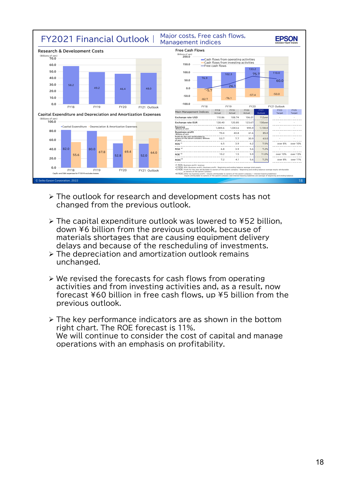

- $\triangleright$  The outlook for research and development costs has not changed from the previous outlook.
- The capital expenditure outlook was lowered to ¥52 billion, down ¥6 billion from the previous outlook, because of materials shortages that are causing equipment delivery delays and because of the rescheduling of investments.
- $\triangleright$  The depreciation and amortization outlook remains unchanged.
- We revised the forecasts for cash flows from operating activities and from investing activities and, as a result, now forecast ¥60 billion in free cash flows, up ¥5 billion from the previous outlook.
- $\triangleright$  The key performance indicators are as shown in the bottom right chart. The ROE forecast is 11%. We will continue to consider the cost of capital and manage operations with an emphasis on profitability.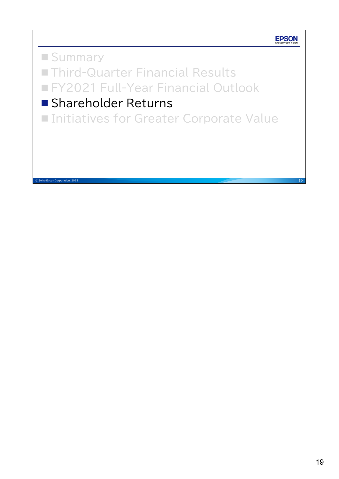**EPSON** 

**Summary Third-Quarter Financial Results FY2021 Full-Year Financial Outlook Shareholder Returns** ■ Initiatives for Greater Corporate Value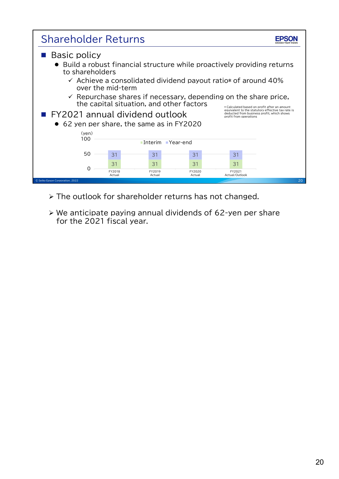

- The outlook for shareholder returns has not changed.
- We anticipate paying annual dividends of 62-yen per share for the 2021 fiscal year.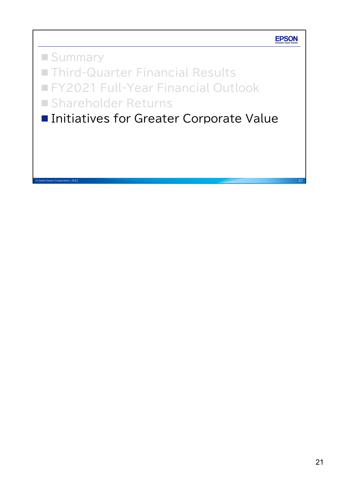

**Summary Third-Quarter Financial Results FY2021 Full-Year Financial Outlook Shareholder Returns** 

■ Initiatives for Greater Corporate Value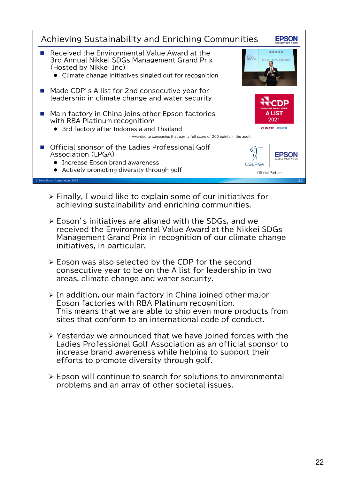

- $\triangleright$  Finally, I would like to explain some of our initiatives for achieving sustainability and enriching communities.
- Epson's initiatives are aligned with the SDGs, and we received the Environmental Value Award at the Nikkei SDGs Management Grand Prix in recognition of our climate change initiatives, in particular.
- Epson was also selected by the CDP for the second consecutive year to be on the A list for leadership in two areas, climate change and water security.
- $\geq$  In addition, our main factory in China joined other major Epson factories with RBA Platinum recognition. This means that we are able to ship even more products from sites that conform to an international code of conduct.
- Yesterday we announced that we have joined forces with the Ladies Professional Golf Association as an official sponsor to increase brand awareness while helping to support their efforts to promote diversity through golf.
- $\triangleright$  Epson will continue to search for solutions to environmental problems and an array of other societal issues.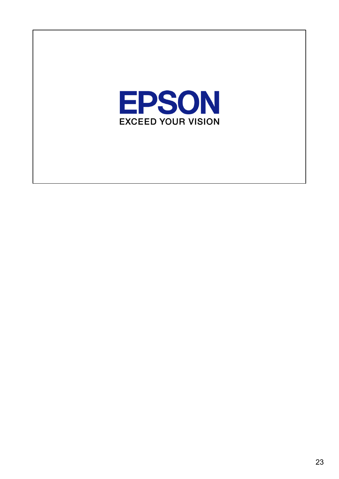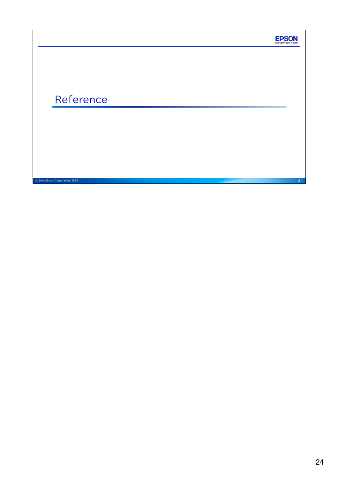|                                 |  | <b>EPSON</b> |
|---------------------------------|--|--------------|
|                                 |  |              |
|                                 |  |              |
|                                 |  |              |
| Reference                       |  |              |
|                                 |  |              |
|                                 |  |              |
|                                 |  |              |
|                                 |  |              |
| © Seiko Epson Corporation. 2022 |  | 24           |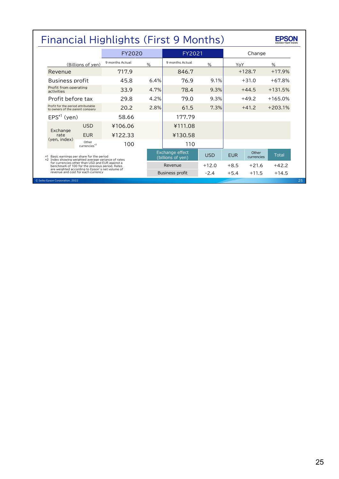|                                                                                                                                                       |                 | <b>Financial Highlights (First 9 Months)</b> |                                      |            |            |                     |              |  |  |  |  |  |  |
|-------------------------------------------------------------------------------------------------------------------------------------------------------|-----------------|----------------------------------------------|--------------------------------------|------------|------------|---------------------|--------------|--|--|--|--|--|--|
|                                                                                                                                                       | FY2020          |                                              | FY2021                               |            |            | Change              |              |  |  |  |  |  |  |
| (Billions of yen)                                                                                                                                     | 9 months Actual | %                                            | 9 months Actual                      | %          | YoY        |                     | %            |  |  |  |  |  |  |
| Revenue                                                                                                                                               | 717.9           |                                              | 846.7                                |            |            | $+128.7$            | $+17.9%$     |  |  |  |  |  |  |
| <b>Business profit</b>                                                                                                                                | 45.8            | 6.4%                                         | 76.9                                 | 9.1%       |            | $+31.0$             | $+67.8%$     |  |  |  |  |  |  |
| Profit from operating<br>activities                                                                                                                   | 33.9            | 4.7%                                         | 78.4                                 | 9.3%       | $+44.5$    |                     | $+131.5%$    |  |  |  |  |  |  |
| Profit before tax                                                                                                                                     | 29.8            | 4.2%                                         | 79.0                                 | 9.3%       | $+49.2$    |                     | $+165.0%$    |  |  |  |  |  |  |
| Profit for the period attributable<br>to owners of the parent company                                                                                 | 20.2            | 2.8%                                         | 61.5                                 | 7.3%       | $+41.2$    |                     | $+203.1%$    |  |  |  |  |  |  |
| $EPS^{\ast 1}$ (yen)                                                                                                                                  | 58.66           |                                              | 177.79                               |            |            |                     |              |  |  |  |  |  |  |
| <b>USD</b>                                                                                                                                            | ¥106.06         |                                              | ¥111.08                              |            |            |                     |              |  |  |  |  |  |  |
| Exchange<br><b>EUR</b><br>rate                                                                                                                        | ¥122.33         |                                              | ¥130.58                              |            |            |                     |              |  |  |  |  |  |  |
| (yen, index)<br>Other<br>currencies*2                                                                                                                 | 100             |                                              | 110                                  |            |            |                     |              |  |  |  |  |  |  |
| *1 Basic earnings per share for the period<br>*2 Index showing weighted average variance of rates                                                     |                 |                                              | Exchange effect<br>(billions of yen) | <b>USD</b> | <b>EUR</b> | Other<br>currencies | <b>Total</b> |  |  |  |  |  |  |
| for currencies other than USD and EUR against a<br>benchmark of 100 for the previous period. Rates<br>are weighted according to Epson's net volume of |                 |                                              | Revenue                              | $+12.0$    | $+8.5$     | $+21.6$             | $+42.2$      |  |  |  |  |  |  |
| revenue and cost for each currency                                                                                                                    |                 |                                              | <b>Business profit</b>               | $-2.4$     | $+5.4$     | $+11.5$             | $+14.5$      |  |  |  |  |  |  |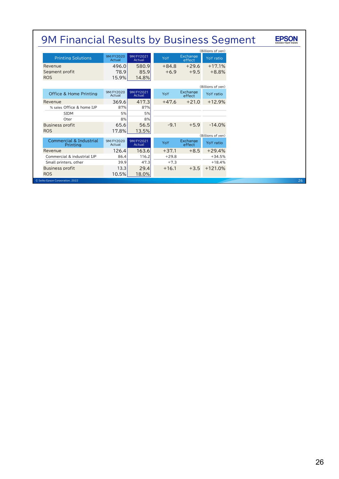| <b>9M Financial Results by Business Segment</b> |                     |                     |         |                    |                   |  |    |  |  |  |
|-------------------------------------------------|---------------------|---------------------|---------|--------------------|-------------------|--|----|--|--|--|
|                                                 |                     |                     |         |                    | (Billions of yen) |  |    |  |  |  |
| <b>Printing Solutions</b>                       | 9M/FY2020<br>Actual | 9M/FY2021<br>Actual | YoY     | Exchange<br>effect | <b>YoY</b> ratio  |  |    |  |  |  |
| Revenue                                         | 496.0               | 580.9               | $+84.8$ | $+29.6$            | $+17.1%$          |  |    |  |  |  |
| Segment profit                                  | 78.9                | 85.9                | $+6.9$  | $+9.5$             | $+8.8%$           |  |    |  |  |  |
| <b>ROS</b>                                      | 15.9%               | 14.8%               |         |                    |                   |  |    |  |  |  |
|                                                 |                     |                     |         |                    | (Billions of yen) |  |    |  |  |  |
| Office & Home Printing                          | 9M/FY2020<br>Actual | 9M/FY2021<br>Actual | YoY     | Exchange<br>effect | YoY ratio         |  |    |  |  |  |
| Revenue                                         | 369.6               | 417.3               | $+47.6$ | $+21.0$            | $+12.9%$          |  |    |  |  |  |
| % sales Office & home LIP                       | 87%                 | 87%                 |         |                    |                   |  |    |  |  |  |
| <b>SIDM</b>                                     | 5%                  | 5%                  |         |                    |                   |  |    |  |  |  |
| Oter                                            | 8%                  | 8%                  |         |                    |                   |  |    |  |  |  |
| <b>Business profit</b><br><b>ROS</b>            | 65.6<br>17.8%       | 56.5<br>13.5%       | $-9.1$  | $+5.9$             | $-14.0%$          |  |    |  |  |  |
|                                                 |                     |                     |         |                    | (Billions of yen) |  |    |  |  |  |
| Commercial & Industrial<br>Printing             | 9M/FY2020<br>Actual | 9M/FY2021<br>Actual | YoY     | Exchange<br>effect | <b>YoY</b> ratio  |  |    |  |  |  |
| Revenue                                         | 126.4               | 163.6               | $+37.1$ | $+8.5$             | $+29.4%$          |  |    |  |  |  |
| Commercial & industrial IJP                     | 86.4                | 116.2               | $+29.8$ |                    | $+34.5%$          |  |    |  |  |  |
| Small printers, other                           | 39.9                | 47.3                | $+7.3$  |                    | $+18.4%$          |  |    |  |  |  |
| <b>Business profit</b>                          | 13.3                | 29.4                | $+16.1$ | $+3.5$             | $+121.0%$         |  |    |  |  |  |
| <b>ROS</b>                                      | 10.5%               | 18.0%               |         |                    |                   |  |    |  |  |  |
| C Seiko Epson Corporation, 2022                 |                     |                     |         |                    |                   |  | 26 |  |  |  |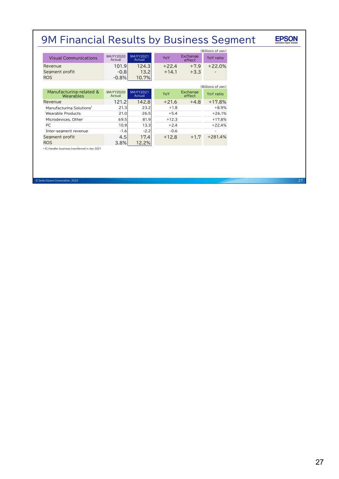### 9M Financial Results by Business Segment **EPSON**

|                              |                     |                     |         |                    | (Billions of yen) |
|------------------------------|---------------------|---------------------|---------|--------------------|-------------------|
| <b>Visual Communications</b> | 9M/FY2020<br>Actual | 9M/FY2021<br>Actual | YoY     | Exchange<br>effect | <b>YoY</b> ratio  |
| Revenue                      | 101.9               | 124.3               | $+22.4$ | $+7.9$             | $+22.0%$          |
| Segment profit               | $-0.8$              | 13.2                | $+14.1$ | $+3.3$             |                   |
| <b>ROS</b>                   | $-0.8%$             | 10.7%               |         |                    |                   |
|                              |                     |                     |         |                    | (Billions of yen) |
| Manufacturing-related &      | 9M/FY2020           | 9M/FY2021           |         | Exchange           |                   |
| Wearables                    | Actual              | Actual              | YoY     | effect             | <b>YoY</b> ratio  |
| Revenue                      | 121.2               | 142.8               | $+21.6$ | $+4.8$             | $+17.8%$          |
| Manufacturing Solutions*     | 21.3                | 23.2                | $+1.8$  |                    | $+8.9%$           |
| Wearable Products            | 21.0                | 26.5                | $+5.4$  |                    | $+26.1%$          |
| Microdevices, Other          | 69.5                | 81.9                | $+12.3$ |                    | $+17.8%$          |
| PC.                          | 10.9                | 13.3                | $+2.4$  |                    | $+22.4%$          |
| Inter-segment revenue        | $-1.6$              | $-2.2$              | $-0.6$  |                    |                   |
| Segment profit               | 4.5                 | 17.4                | $+12.8$ | $+1.7$             | $+281.4%$         |
| <b>ROS</b>                   | 3.8%                | 12.2%               |         |                    |                   |

\* IC Handler business transferred in Apr 2021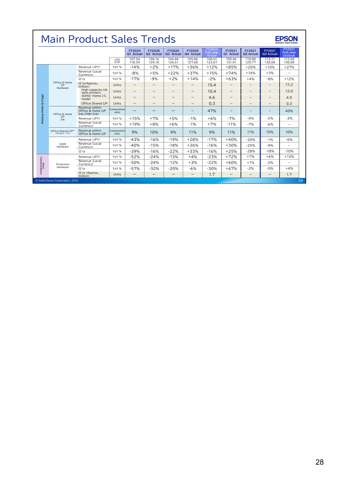|                          | <b>Main Product Sales Trends</b><br><b>EXCEED YOUR VISION</b> |                                                       |                          |                          |                          |                     |                          |                                             |                              |                          |                          |                                              |  |
|--------------------------|---------------------------------------------------------------|-------------------------------------------------------|--------------------------|--------------------------|--------------------------|---------------------|--------------------------|---------------------------------------------|------------------------------|--------------------------|--------------------------|----------------------------------------------|--|
|                          |                                                               |                                                       |                          | FY2020<br>Q1 Actual      | FY2020<br>Q2 Actual      | FY2020<br>Q3 Actual | FY2020<br>Q4 Actual      | <b>FY2020</b><br><b>Full-year</b><br>Actual | FY2021<br>Q1 Actual          | FY2021<br>Q2 Actual      | FY2021<br>Q3 Actual      | FY2021<br><b>Full-year</b><br><b>Outlook</b> |  |
|                          |                                                               |                                                       | <b>USD</b><br><b>EUR</b> | 107.54<br>118.39         | 106.16<br>124.10         | 104.48<br>124.51    | 105.86<br>127.68         | 106.01<br>123.67                            | 109.46<br>131.91             | 110.08<br>129.77         | 113.71<br>130.08         | 112.00<br>130.00                             |  |
|                          |                                                               | Revenue (JPY)                                         | YoY %                    | $-14%$                   | $+2%$                    | $+17%$              | $+36%$                   | $+12%$                                      | $+85%$                       | $+20%$                   | $+10%$                   | $+27%$                                       |  |
|                          |                                                               | Revenue (Local<br>Currency)                           | YoY %                    | $-8%$                    | $+5%$                    | $+22%$              | $+37%$                   | $+15%$                                      | $+74%$                       | $+14%$                   | $+3%$                    | $=$                                          |  |
|                          |                                                               | $Q'$ tv                                               | YoY %                    | $-17%$                   | $-9%$                    | $+2%$               | $+14%$                   | $-2%$                                       | $+63%$                       | $+4%$                    | $-8%$                    | $+12%$                                       |  |
|                          | Office & Home<br><b>LIP</b><br>Hardware                       | $Q'$ ty $(A$ pprox<br>million)                        | Units                    | -                        | $\overline{\phantom{0}}$ | $\qquad \qquad -$   | -                        | 15.4                                        | —                            | $\qquad \qquad -$        | $\qquad \qquad -$        | 17.2                                         |  |
|                          |                                                               | High-capacity ink<br>tank printers                    | Units                    | $\overline{\phantom{0}}$ | -                        | $\qquad \qquad -$   | -                        | 10.4                                        | $\qquad \qquad \blacksquare$ | $\qquad \qquad -$        | $\overline{\phantom{m}}$ | 12.0                                         |  |
| Office                   |                                                               | SOHO/Home I/C<br>model                                | Units                    | -                        | -                        |                     | -                        | 4.6                                         | $\qquad \qquad \blacksquare$ | $\overline{\phantom{m}}$ | $\qquad \qquad -$        | 4.9                                          |  |
| ଚ୍ଚ                      |                                                               | Office Shared IJP                                     | Units                    | $\overline{\phantom{m}}$ | -                        | $\qquad \qquad -$   | -                        | 0.3                                         | $\qquad \qquad -$            | $\overline{\phantom{0}}$ | $\qquad \qquad -$        | 0.3                                          |  |
| <b>Home Printing</b>     | Office & Home                                                 | Revenue within<br>Office & Home IJP<br>$Ink/(HW+Ink)$ | Composition<br>ratio     |                          |                          |                     | -                        | 47%                                         |                              | -                        | -                        | 40%                                          |  |
|                          | <b>IJP</b><br>Ink                                             | Revenue (JPY)                                         | YoY %                    | $+15%$                   | $+7%$                    | $+5%$               | $-1%$                    | $+6%$                                       | $-7%$                        | $-4%$                    | $-2%$                    | $-3%$                                        |  |
|                          |                                                               | Revenue (Local<br>Currency)                           | YoY %                    | $+19%$                   | $+8%$                    | $+6%$               | $-1%$                    | $+7%$                                       | $-11%$                       | $-7%$                    | $-6%$                    | -                                            |  |
|                          | Office Shared IJP*1<br>(Hardware + Ink)                       | Revenue within<br>Office & Home IJP                   | Composition<br>ratio     | 9%                       | 10%                      | 9%                  | 11%                      | 9%                                          | 11%                          | 11%                      | 10%                      | 10%                                          |  |
|                          |                                                               | Revenue (JPY)                                         | YoY %                    | $-4.3%$                  | $-16%$                   | $-19%$              | $+28%$                   | $-17%$                                      | $+40%$                       | $-20%$                   | $-1%$                    | $-0%$                                        |  |
|                          | <b>SIDM</b><br>Hardware                                       | Revenue (Local<br>Currency)                           | YoY %                    | $-40%$                   | $-15%$                   | $-18%$              | $+26%$                   | $-16%$                                      | $+30%$                       | $-25%$                   | $-9%$                    | $\overline{\phantom{0}}$                     |  |
|                          |                                                               | $Q'$ tv                                               | YoY %                    | $-39%$                   | $-16%$                   | $-22%$              | $+33%$                   | $-16%$                                      | $+25%$                       | $-28%$                   | $-18%$                   | $-10%$                                       |  |
|                          |                                                               | Revenue (JPY)                                         | YoY %                    | $-52%$                   | $-24%$                   | $-13%$              | $+4%$                    | $-23%$                                      | $+72%$                       | $+7%$                    | $+6%$                    | $+13%$                                       |  |
| Visual<br>Communications | Projectors                                                    | Revenue (Local<br>Currency)                           | YoY %                    | $-50%$                   | $-24%$                   | $-12%$              | $+3%$                    | $-22%$                                      | $+60%$                       | $+1%$                    | $-2%$                    | $=$                                          |  |
|                          | Hardware                                                      | $Q'$ ty                                               | YoY %                    | $-57%$                   | $-32%$                   | $-20%$              | $-6%$                    | $-30%$                                      | $+67%$                       | $-2%$                    | $-5%$                    | $+4%$                                        |  |
|                          |                                                               | Q'ty (Approx<br>million)                              | Units                    | -                        | -                        | –                   | $\overline{\phantom{m}}$ | 1.7                                         | $\overline{\phantom{0}}$     | -                        | $\overline{\phantom{0}}$ | 1.7                                          |  |
|                          | © Seiko Epson Corporation, 2022                               |                                                       |                          |                          |                          |                     |                          |                                             |                              |                          |                          | 28                                           |  |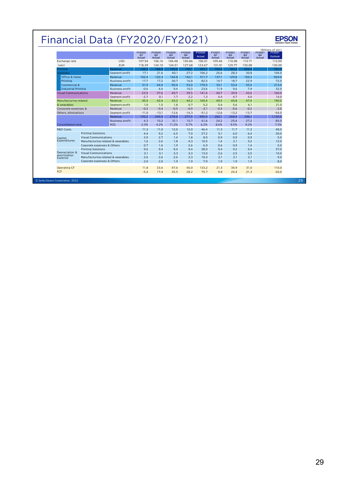# Financial Data (FY2020/FY2021)

# **EPSON**

|                                |                                   | <b>FY2020</b><br>Q1<br>Actual | <b>FY2020</b><br>Q2<br>Actual | <b>FY2020</b><br>Q <sub>3</sub><br>Actual | <b>FY2020</b><br>Q <sub>4</sub><br>Actual | FY2020<br>Actual | FY2021<br>Q1<br>Actual | FY2021<br>Q <sub>2</sub><br>Actual | FY2021<br>Q <sub>3</sub><br>Actual | FY2021<br>Q <sub>4</sub><br>Actual | FY2021<br><b>Outlook</b> |
|--------------------------------|-----------------------------------|-------------------------------|-------------------------------|-------------------------------------------|-------------------------------------------|------------------|------------------------|------------------------------------|------------------------------------|------------------------------------|--------------------------|
| Exchange rate<br><b>USD</b>    |                                   | 107.54                        | 106.16                        | 104.48                                    | 105.86                                    | 106.01           | 109.46                 | 110.08                             | 113.71                             |                                    | 112.00                   |
| (ven)                          | <b>EUR</b>                        | 118.39                        | 124.10                        | 124.51                                    | 127.68                                    | 123.67           | 131.91                 | 129.77                             | 130.08                             |                                    | 130.00                   |
| Printing                       | Revenue                           | 134.3                         | 166.3                         | 195.2                                     | 195.1                                     | 691.1            | 192.3                  | 183.2                              | 205.3                              |                                    | 782.0                    |
| <b>Solutions</b>               | Segment profit                    | 17.1                          | 21.6                          | 40.1                                      | 27.2                                      | 106.2            | 26.6                   | 28.3                               | 30.8                               |                                    | 104.0                    |
| Office & Home                  | Revenue                           | 102.4                         | 122.3                         | 144.8                                     | 142.1                                     | 511.7            | 137.1                  | 129.8                              | 150.3                              |                                    | 569.0                    |
| Printing                       | <b>Business profit</b>            | 17.7                          | 17.2                          | 30.7                                      | 16.8                                      | 82.5             | 14.7                   | 18.7                               | 22.9                               |                                    | 72.0                     |
| Commercial &                   | Revenue                           | 31.9                          | 44.0                          | 50.4                                      | 53.0                                      | 179.5            | 55.1                   | 53.4                               | 55.0                               |                                    | 213.0                    |
| <b>Industrial Printing</b>     | <b>Business profit</b>            | $-0.6$                        | 4.4                           | 9.4                                       | 10.3                                      | 23.6             | 11.9                   | 9.6                                | 7.9                                |                                    | 32.0                     |
| <b>Visual Communications</b>   | Revenue                           | 23.5                          | 37.6                          | 40.7                                      | 39.5                                      | 141.4            | 40.7                   | 39.9                               | 43.6                               |                                    | 160.0                    |
|                                | Segment profit                    | $-2.7$                        | 0.1                           | 1.7                                       | 2.2                                       | 1.3              | 4.4                    | 4.7                                | 4.0                                |                                    | 14.0                     |
| Manufacturing-related          | Revenue                           | 35.5                          | 42.4                          | 43.2                                      | 44.2                                      | 165.4            | 49.5                   | 45.8                               | 47.4                               |                                    | 190.0                    |
| & wearables                    | Segment profit                    | 1.0                           | 1.5                           | 1.8                                       | 0.7                                       | 5.2              | 5.6                    | 5.6                                | 6.1                                |                                    | 21.0                     |
| Corporate expenses &           | Revenue                           | $-0.2$                        | $-0.4$                        | $-0.5$                                    | $-0.9$                                    | $-2.1$           | $-0.4$                 | $-0.6$                             | $-0.2$                             |                                    | $-2.0$                   |
| Others, eliminations           | Segment profit                    | $-11.0$                       | $-13.1$                       | $-12.6$                                   | $-14.3$                                   | $-51.2$          | $-12.6$                | $-13.2$                            | $-13.7$                            |                                    | $-54.0$                  |
|                                | Revenue                           | 193.2                         | 245.9                         | 278.8                                     | 277.9                                     | 995.9            | 282.1                  | 268.4                              | 296.1                              |                                    | 1,130.0                  |
|                                | <b>Business profit</b>            | 4.3                           | 10.2                          | 31.1                                      | 15.7                                      | 61.6             | 24.2                   | 25.4                               | 27.2                               |                                    | 85.0                     |
| <b>Consolidated total</b>      | <b>ROS</b>                        | 2.3%                          | 4.2%                          | 11.2%                                     | 5.7%                                      | 6.2%             | 8.6%                   | 9.5%                               | 9.2%                               |                                    | 7.5%                     |
| <b>R&amp;D Costs</b>           |                                   | 11.3                          | 11.0                          | 12.0                                      | 12.0                                      | 46.4             | 11.3                   | 11.7                               | 11.3                               |                                    | 48.0                     |
| <b>Printing Solutions</b>      |                                   | 4.4                           | 9.2                           | 6.5                                       | 7.0                                       | 27.2             | 5.1                    | 6.0                                | 6.4                                |                                    | 30.0                     |
| Capital                        | <b>Visual Communications</b>      |                               | 2.7                           | 1.4                                       | 1.8                                       | 8.0              | 0.9                    | 0.9                                | 0.9                                |                                    | 5.0                      |
| Expenditures                   | Manufacturing-related & wearables |                               | 2.6                           | 1.8                                       | 4.3                                       | 10.5             | 1.4                    | 2.1                                | 3.2                                |                                    | 12.0                     |
|                                | Coporate expenses & Others        | 0.7<br>9.6                    | 1.6                           | 1.9                                       | 2.6                                       | 6.9              | 0.6                    | 0.9                                | 1.4                                |                                    | 5.0                      |
|                                | <b>Printing Solutions</b>         |                               | 9.4                           | 9.4                                       | 9.4                                       | 38.0             | 9.4                    | 9.2                                | 9.4                                |                                    | 37.0                     |
| Depreciation &<br>amortization | <b>Visual Communications</b>      |                               | 3.1                           | 3.3                                       | 3.3                                       | 13.0             | 2.6                    | 2.5                                | 2.5                                |                                    | 10.0                     |
| Expense                        | Manufacturing-related & wearables |                               | 2.6                           | 2.6                                       | 2.3                                       | 10.3             | 2.1                    | 2.1                                | 2.1                                |                                    | 9.0                      |
|                                | Coporate expenses & Others        | 2.0                           | 2.0                           | 1.9                                       | 1.9                                       | 7.9              | 1.9                    | 1.9                                | 1.9                                |                                    | 8.0                      |
| <b>Operating CF</b>            |                                   | 11.8                          | 33.6                          | 47.6                                      | 40.0                                      | 133.2            | 21.3                   | 34.9                               | 31.0                               |                                    | 110.0                    |
| FCF                            |                                   | $-5.4$                        | 17.4                          | 35.5                                      | 28.2                                      | 75.7             | 9.8                    | 24.4                               | 21.3                               |                                    | 60.0                     |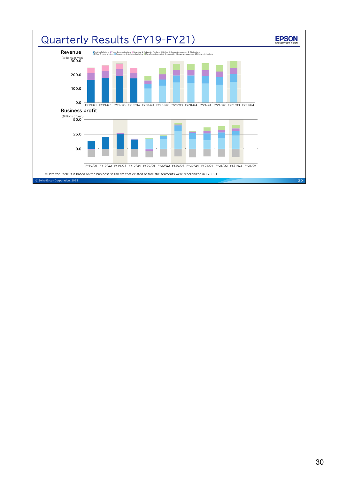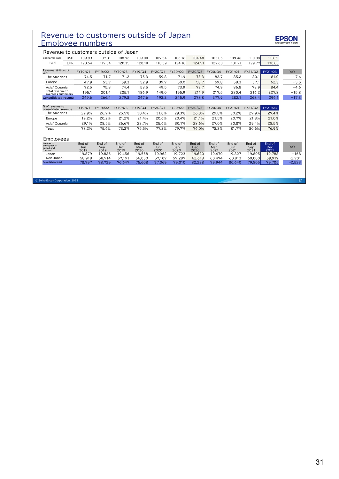### Revenue to customers outside of Japan Employee numbers

## **EPSON**

| Exchange rate                                       | <b>USD</b> | 109.93                | 107.31                | 108.72                       | 109.00                | 107.54                | 106.16                | 104.48                       | 105.86                | 109.46                | 110.08                | 113.71                       |          |
|-----------------------------------------------------|------------|-----------------------|-----------------------|------------------------------|-----------------------|-----------------------|-----------------------|------------------------------|-----------------------|-----------------------|-----------------------|------------------------------|----------|
| (yen)                                               | <b>EUR</b> | 123.54                | 119.34                | 120.35                       | 120.18                | 118.39                | 124.10                | 124.51                       | 127.68                | 131.91                | 129.77                | 130.08                       |          |
| Revenue (Billions of<br>ven)                        |            | FY19/Q1               | FY19/Q2               | FY19/Q3                      | FY19/Q4               | FY20/Q1               | FY20/Q2               | FY20/Q3                      | FY20/Q4               | FY21/Q1               | FY21/Q2               | FY21/Q3                      | YoY      |
| The Americas                                        |            | 74.5                  | 71.7                  | 71.2                         | 75.3                  | 59.8                  | 71.9                  | 73.3                         | 82.7                  | 85.2                  | 80.1                  | 81.0                         | $+7.6$   |
| Europe                                              |            | 47.9                  | 53.7                  | 59.3                         | 52.9                  | 39.7                  | 50.0                  | 58.7                         | 59.8                  | 58.3                  | 57.1                  | 62.3                         | $+3.5$   |
| Asia/Oceania                                        |            | 72.5                  | 75.8                  | 74.4                         | 58.5                  | 49.5                  | 73.9                  | 79.7                         | 74.9                  | 86.8                  | 78.9                  | 84.4                         | $+4.6$   |
| <b>Total revenue to</b><br>overseas customers       |            | 195.1                 | 201.4                 | 205.1                        | 186.9                 | 149.0                 | 195.9                 | 211.9                        | 217.5                 | 230.4                 | 216.2                 | 227.8                        | $+15.8$  |
| <b>Consolidated revenu-</b>                         |            | 249.6                 | 266.4                 | 279.8                        | 247.6                 | 193.2                 | 245.9                 | 278.8                        | 277.9                 | 282.1                 | 268.4                 | 296.1                        | $+17.3$  |
|                                                     |            |                       |                       |                              |                       |                       |                       |                              |                       |                       |                       |                              |          |
| % of revenue to<br>consolidated revenue             |            | FY19/Q1               | FY19/Q2               | FY19/Q3                      | FY19/Q4               | FY20/Q1               | FY20/Q2               | FY20/Q3                      | FY20/Q4               | FY21/Q1               | FY21/Q2               | FY21/Q3                      |          |
| The Americas                                        |            | 29.9%                 | 26.9%                 | 25.5%                        | 30.4%                 | 31.0%                 | 29.3%                 | 26.3%                        | 29.8%                 | 30.2%                 | 29.9%                 | 27.4%                        |          |
| Europe                                              |            | 19.2%                 | 20.2%                 | 21.2%                        | 21.4%                 | 20.6%                 | 20.4%                 | 21.1%                        | 21.5%                 | 20.7%                 | 21.3%                 | 21.0%                        |          |
| Asia/Oceania                                        |            | 29.1%                 | 28.5%                 | 26.6%                        | 23.7%                 | 25.6%                 | 30.1%                 | 28.6%                        | 27.0%                 | 30.8%                 | 29.4%                 | 28.5%                        |          |
| Total                                               |            | 78.2%                 | 75.6%                 | 73.3%                        | 75.5%                 | 77.2%                 | 79.7%                 | 76.0%                        | 78.3%                 | 81.7%                 | 80.6%                 | 76.9%                        |          |
|                                                     |            |                       |                       |                              |                       |                       |                       |                              |                       |                       |                       |                              |          |
| Employees                                           |            |                       |                       |                              |                       |                       |                       |                              |                       |                       |                       |                              |          |
| Number of<br>employees at<br>period end<br>(person) |            | End of<br>Jun<br>2019 | End of<br>Sep<br>2019 | End of<br><b>Dec</b><br>2019 | End of<br>Mar<br>2020 | End of<br>Jun<br>2020 | End of<br>Sep<br>2020 | End of<br><b>Dec</b><br>2020 | End of<br>Mar<br>2021 | End of<br>Jun<br>2021 | End of<br>Sep<br>2021 | End of<br><b>Dec</b><br>2021 | YoY      |
| Japan                                               |            | 19.879                | 19,825                | 19,456                       | 19,558                | 19,962                | 19,723                | 19,620                       | 19.470                | 19,827                | 19,805                | 19,788                       | $+168$   |
| Non-Japan                                           |            | 58,918                | 58,914                | 57,191                       | 56,050                | 57,107                | 59,287                | 62,618                       | 60,474                | 60,813                | 60.000                | 59,917                       | $-2,701$ |
| <b>Consolidated total</b>                           |            | 78,797                | 78,739                | 76,647                       | 75,608                | 77,069                | 79,010                | 82,238                       | 79,944                | 80.640                | 79,805                | 79,705                       | $-2,533$ |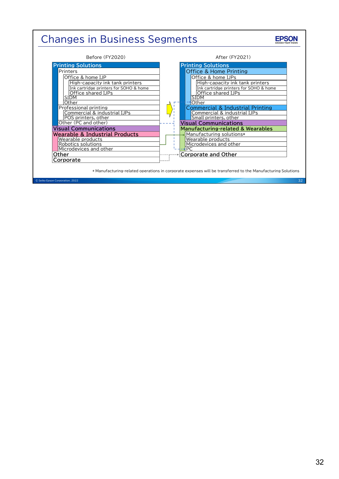# Changes in Business Segments

**EPSON** 

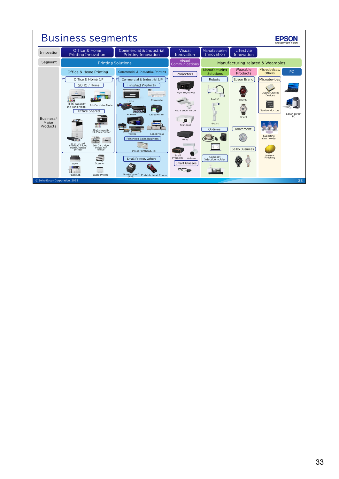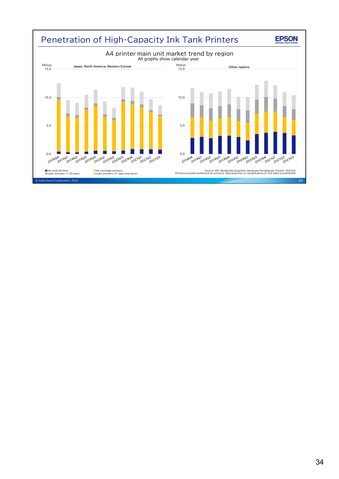

### 34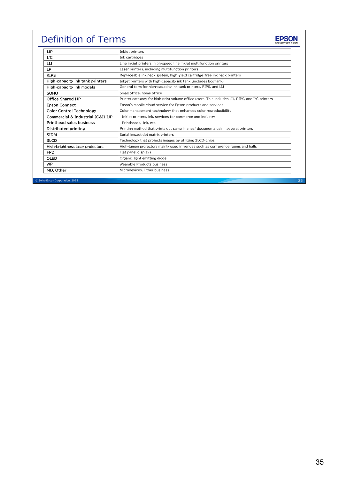# Definition of Terms

| <b>IJP</b>                        | Inkjet printers                                                                                |  |  |  |  |
|-----------------------------------|------------------------------------------------------------------------------------------------|--|--|--|--|
| I/C                               | Ink cartridges                                                                                 |  |  |  |  |
| LIJ                               | Line inkjet printers, high-speed line inkjet multifunction printers                            |  |  |  |  |
| LP                                | Laser printers, including multifunction printers                                               |  |  |  |  |
| <b>RIPS</b>                       | Replaceable ink pack system, high-yield cartridge-free ink pack printers                       |  |  |  |  |
| High-capacity ink tank printers   | Inkiet printers with high-capacity ink tank (includes EcoTank)                                 |  |  |  |  |
| High-capacity ink models          | General term for high-capacity ink tank printers, RIPS, and LIJ                                |  |  |  |  |
| SOHO                              | Small office, home office                                                                      |  |  |  |  |
| <b>Office Shared IJP</b>          | Printer category for high print volume office users. This includes LIJ, RIPS, and I/C printers |  |  |  |  |
| <b>Epson Connect</b>              | Epson's mobile cloud service for Epson products and services                                   |  |  |  |  |
| <b>Color Control Technology</b>   | Color management technology that enhances color reproducibility                                |  |  |  |  |
| Commercial & Industrial (C&I) IJP | Inkjet printers, ink, services for commerce and industry                                       |  |  |  |  |
| <b>Printhead sales business</b>   | Printheads, ink. etc.                                                                          |  |  |  |  |
| Distributed printing              | Printing method that prints out same images/documents using several printers                   |  |  |  |  |
| <b>SIDM</b>                       | Serial impact dot matrix printers                                                              |  |  |  |  |
| 3LCD                              | Technology that projects images by utilizing 3LCD-chips                                        |  |  |  |  |
| High-brightness laser projectors  | High-lumen projectors mainly used in venues such as conference rooms and halls                 |  |  |  |  |
| <b>FPD</b>                        | Flat panel displays                                                                            |  |  |  |  |
| OLED                              | Organic light emitting diode                                                                   |  |  |  |  |
| WP                                | Wearable Products business                                                                     |  |  |  |  |
| MD, Other                         | Microdevices, Other business                                                                   |  |  |  |  |

© Seiko Epson Corporation. 2022 35

**EPSON**